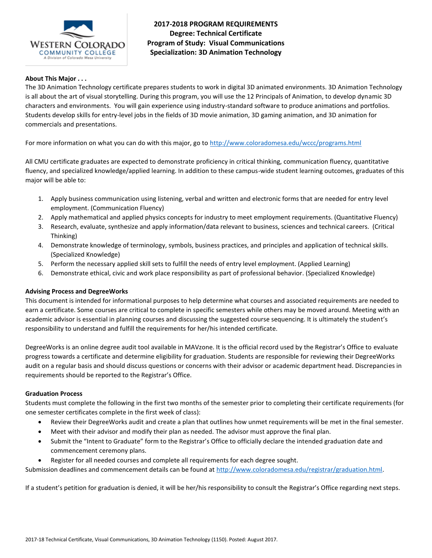

**2017-2018 PROGRAM REQUIREMENTS Degree: Technical Certificate Program of Study: Visual Communications Specialization: 3D Animation Technology**

## **About This Major . . .**

The 3D Animation Technology certificate prepares students to work in digital 3D animated environments. 3D Animation Technology is all about the art of visual storytelling. During this program, you will use the 12 Principals of Animation, to develop dynamic 3D characters and environments. You will gain experience using industry-standard software to produce animations and portfolios. Students develop skills for entry-level jobs in the fields of 3D movie animation, 3D gaming animation, and 3D animation for commercials and presentations.

For more information on what you can do with this major, go to<http://www.coloradomesa.edu/wccc/programs.html>

All CMU certificate graduates are expected to demonstrate proficiency in critical thinking, communication fluency, quantitative fluency, and specialized knowledge/applied learning. In addition to these campus-wide student learning outcomes, graduates of this major will be able to:

- 1. Apply business communication using listening, verbal and written and electronic forms that are needed for entry level employment. (Communication Fluency)
- 2. Apply mathematical and applied physics concepts for industry to meet employment requirements. (Quantitative Fluency)
- 3. Research, evaluate, synthesize and apply information/data relevant to business, sciences and technical careers. (Critical Thinking)
- 4. Demonstrate knowledge of terminology, symbols, business practices, and principles and application of technical skills. (Specialized Knowledge)
- 5. Perform the necessary applied skill sets to fulfill the needs of entry level employment. (Applied Learning)
- 6. Demonstrate ethical, civic and work place responsibility as part of professional behavior. (Specialized Knowledge)

### **Advising Process and DegreeWorks**

This document is intended for informational purposes to help determine what courses and associated requirements are needed to earn a certificate. Some courses are critical to complete in specific semesters while others may be moved around. Meeting with an academic advisor is essential in planning courses and discussing the suggested course sequencing. It is ultimately the student's responsibility to understand and fulfill the requirements for her/his intended certificate.

DegreeWorks is an online degree audit tool available in MAVzone. It is the official record used by the Registrar's Office to evaluate progress towards a certificate and determine eligibility for graduation. Students are responsible for reviewing their DegreeWorks audit on a regular basis and should discuss questions or concerns with their advisor or academic department head. Discrepancies in requirements should be reported to the Registrar's Office.

### **Graduation Process**

Students must complete the following in the first two months of the semester prior to completing their certificate requirements (for one semester certificates complete in the first week of class):

- Review their DegreeWorks audit and create a plan that outlines how unmet requirements will be met in the final semester.
- Meet with their advisor and modify their plan as needed. The advisor must approve the final plan.
- Submit the "Intent to Graduate" form to the Registrar's Office to officially declare the intended graduation date and commencement ceremony plans.
- Register for all needed courses and complete all requirements for each degree sought.

Submission deadlines and commencement details can be found at [http://www.coloradomesa.edu/registrar/graduation.html.](http://www.coloradomesa.edu/registrar/graduation.html)

If a student's petition for graduation is denied, it will be her/his responsibility to consult the Registrar's Office regarding next steps.